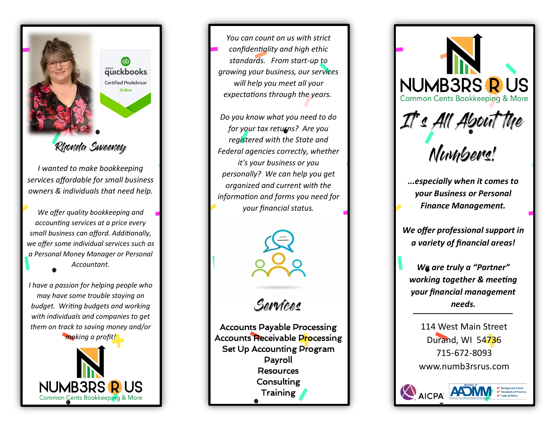

Rhonda Sweeney

*I wanted to make bookkeeping services affordable for small business owners & individuals that need help.*

*We offer quality bookkeeping and accounting services at a price every small business can afford. Additionally, we offer some individual services such as a Personal Money Manager or Personal Accountant.* 

*I have a passion for helping people who may have some trouble staying on budget. Writing budgets and working with individuals and companies to get them on track to saving money and/or* 



*You can count on us with strict confidentiality and high ethic standards. From start -up to growing your business, our services will help you meet all your expectations through the years.*

*Do you know what you need to do for your tax returns? Are you registered with the State and Federal agencies correctly, whether it's your business or you personally? We can help you get organized and current with the information and forms you need for your financial status.* 



Services

Accounts Payable Processing Accounts Receivable Processing Set Up Accounting Program Payroll **Resources Consulting Training** 



*...especially when it comes to your Business or Personal Finance Management.*

*We offer professional support in a variety of financial areas!*

*We are truly a "Partner" working together & meeting your financial management needs.*

114 West Main Street Durand, WI 54736 715 -672 -8093 www.numb3rsrus.com